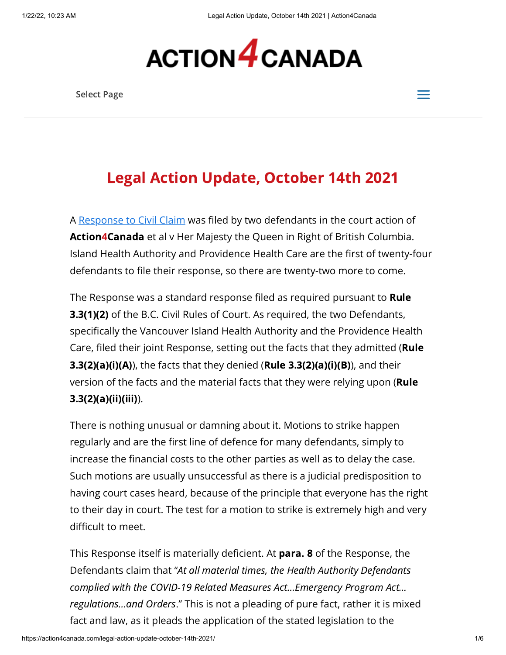

Select Page  $\equiv$ 



# Legal Action Update, October 14th 2021

A [Response to Civil Claim](https://action4canada.com/wp-content/uploads/a4c-response-to-civil-claim-providence-and-island-health.pdf) was filed by two defendants in the court action of Action4Canada et al v Her Majesty the Queen in Right of British Columbia. Island Health Authority and Providence Health Care are the first of twenty-four defendants to file their response, so there are twenty-two more to come.

The Response was a standard response filed as required pursuant to **Rule** 3.3(1)(2) of the B.C. Civil Rules of Court. As required, the two Defendants, specifically the Vancouver Island Health Authority and the Providence Health Care, filed their joint Response, setting out the facts that they admitted (**Rule** 3.3(2)(a)(i)(A)), the facts that they denied (Rule 3.3(2)(a)(i)(B)), and their version of the facts and the material facts that they were relying upon (Rule  $3.3(2)(a)(ii)(iii)$ .

There is nothing unusual or damning about it. Motions to strike happen regularly and are the first line of defence for many defendants, simply to increase the financial costs to the other parties as well as to delay the case. Such motions are usually unsuccessful as there is a judicial predisposition to having court cases heard, because of the principle that everyone has the right to their day in court. The test for a motion to strike is extremely high and very difficult to meet.

This Response itself is materially deficient. At **para. 8** of the Response, the Defendants claim that "At all material times, the Health Authority Defendants complied with the COVID-19 Related Measures Act…Emergency Program Act… regulations…and Orders." This is not a pleading of pure fact, rather it is mixed fact and law, as it pleads the application of the stated legislation to the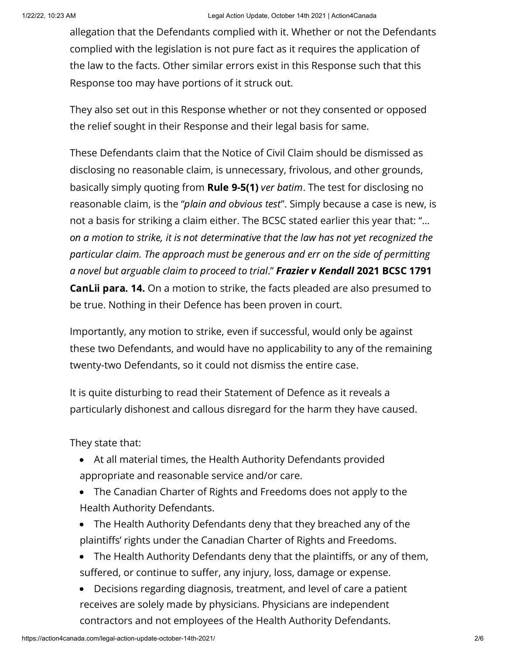allegation that the Defendants complied with it. Whether or not the Defendants complied with the legislation is not pure fact as it requires the application of the law to the facts. Other similar errors exist in this Response such that this Response too may have portions of it struck out.

They also set out in this Response whether or not they consented or opposed the relief sought in their Response and their legal basis for same.

These Defendants claim that the Notice of Civil Claim should be dismissed as disclosing no reasonable claim, is unnecessary, frivolous, and other grounds, basically simply quoting from **Rule 9-5(1)** ver batim. The test for disclosing no reasonable claim, is the "plain and obvious test". Simply because a case is new, is not a basis for striking a claim either. The BCSC stated earlier this year that: "… on a motion to strike, it is not determinative that the law has not yet recognized the particular claim. The approach must be generous and err on the side of permitting a novel but arguable claim to proceed to trial." Frazier v Kendall 2021 BCSC 1791 **CanLii para. 14.** On a motion to strike, the facts pleaded are also presumed to be true. Nothing in their Defence has been proven in court.

Importantly, any motion to strike, even if successful, would only be against these two Defendants, and would have no applicability to any of the remaining twenty-two Defendants, so it could not dismiss the entire case.

It is quite disturbing to read their Statement of Defence as it reveals a particularly dishonest and callous disregard for the harm they have caused.

They state that:

- At all material times, the Health Authority Defendants provided appropriate and reasonable service and/or care.
- The Canadian Charter of Rights and Freedoms does not apply to the Health Authority Defendants.
- The Health Authority Defendants deny that they breached any of the plaintiffs' rights under the Canadian Charter of Rights and Freedoms.
- The Health Authority Defendants deny that the plaintiffs, or any of them, suffered, or continue to suffer, any injury, loss, damage or expense.
- Decisions regarding diagnosis, treatment, and level of care a patient receives are solely made by physicians. Physicians are independent contractors and not employees of the Health Authority Defendants.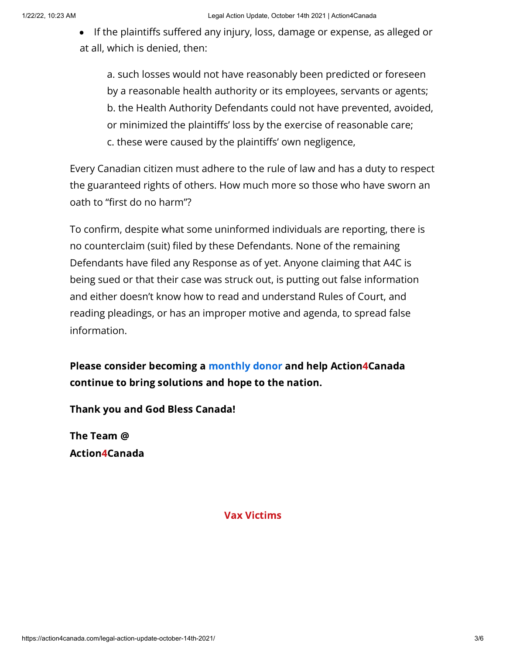If the plaintiffs suffered any injury, loss, damage or expense, as alleged or at all, which is denied, then:

a. such losses would not have reasonably been predicted or foreseen by a reasonable health authority or its employees, servants or agents; b. the Health Authority Defendants could not have prevented, avoided, or minimized the plaintiffs' loss by the exercise of reasonable care; c. these were caused by the plaintiffs' own negligence,

Every Canadian citizen must adhere to the rule of law and has a duty to respect the guaranteed rights of others. How much more so those who have sworn an oath to "first do no harm"?

To confirm, despite what some uninformed individuals are reporting, there is no counterclaim (suit) filed by these Defendants. None of the remaining Defendants have filed any Response as of yet. Anyone claiming that A4C is being sued or that their case was struck out, is putting out false information and either doesn't know how to read and understand Rules of Court, and reading pleadings, or has an improper motive and agenda, to spread false information.

Please consider becoming a [monthly](https://action4canada.com/donate/) donor and help Action4Canada continue to bring solutions and hope to the nation.

Thank you and God Bless Canada!

The Team @ Action4Canada

#### Vax Victims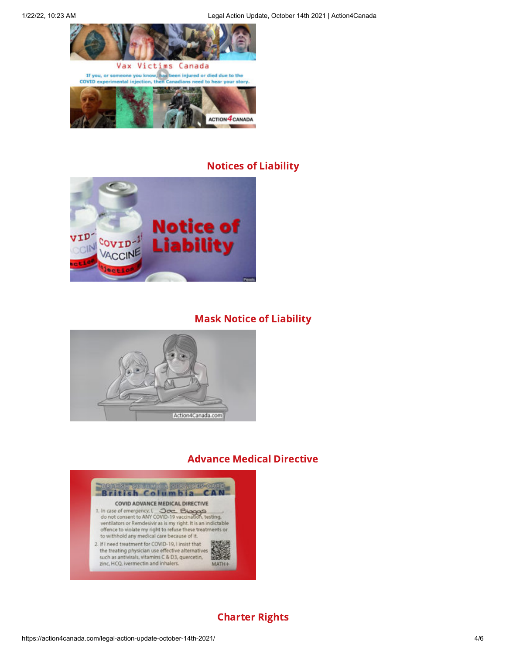

#### Notices of Liability

**ACTION 4 CANADA** 



#### Mask Notice of Liability



#### Advance Medical Directive



## Charter Rights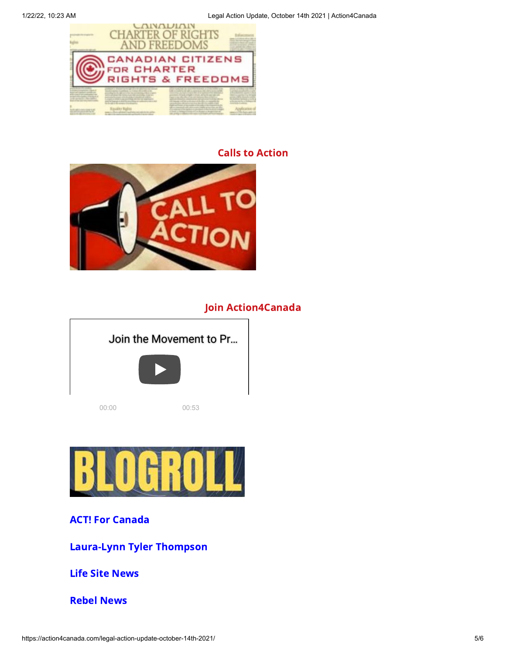

# Calls to Action



## Join Action4Canada

| Join the Movement to Pr |       |
|-------------------------|-------|
|                         |       |
| 00:00                   | 00:53 |



## ACT! For [Canada](https://www.actforcanada.ca/)

[Laura-Lynn](http://www.lauralynn.tv/) Tyler Thompson

Life Site [News](https://www.lifesitenews.com/)

[Rebel](https://www.rebelnews.com/) News